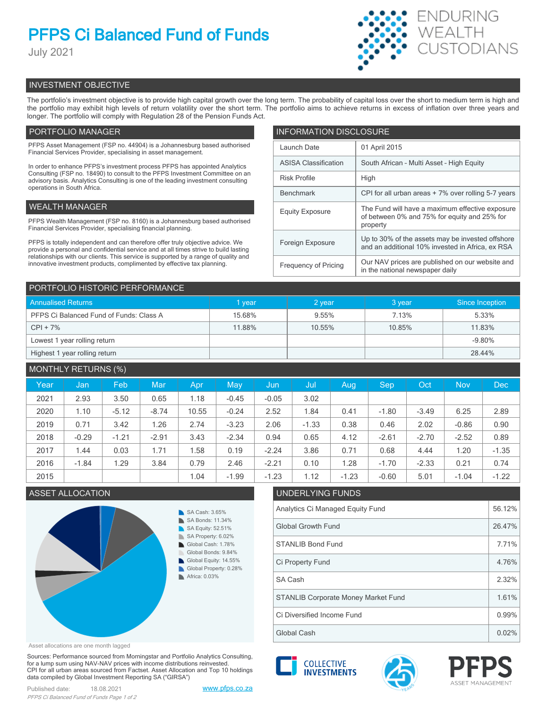# **PFPS Ci Balanced Fund of Funds**

July 2021



# INVESTMENT OBJECTIVE

The portfolio's investment objective is to provide high capital growth over the long term. The probability of capital loss over the short to medium term is high and the portfolio may exhibit high levels of return volatility over the short term. The portfolio aims to achieve returns in excess of inflation over three years and longer. The portfolio will comply with Regulation 28 of the Pension Funds Act.

# PORTFOLIO MANAGER

PFPS Asset Management (FSP no. 44904) is a Johannesburg based authorised Financial Services Provider, specialising in asset management.

In order to enhance PFPS's investment process PFPS has appointed Analytics Consulting (FSP no. 18490) to consult to the PFPS Investment Committee on an advisory basis. Analytics Consulting is one of the leading investment consulting operations in South Africa.

# WEALTH MANAGER

PFPS Wealth Management (FSP no. 8160) is a Johannesburg based authorised Financial Services Provider, specialising financial planning.

PFPS is totally independent and can therefore offer truly objective advice. We provide a personal and confidential service and at all times strive to build lasting relationships with our clients. This service is supported by a range of quality and innovative investment products, complimented by effective tax planning.

| <b>INFORMATION DISCLOSURE</b> |                                                                                                             |  |  |  |
|-------------------------------|-------------------------------------------------------------------------------------------------------------|--|--|--|
| Launch Date                   | 01 April 2015                                                                                               |  |  |  |
| <b>ASISA Classification</b>   | South African - Multi Asset - High Equity                                                                   |  |  |  |
| <b>Risk Profile</b>           | High                                                                                                        |  |  |  |
| <b>Benchmark</b>              | CPI for all urban areas + 7% over rolling 5-7 years                                                         |  |  |  |
| <b>Equity Exposure</b>        | The Fund will have a maximum effective exposure<br>of between 0% and 75% for equity and 25% for<br>property |  |  |  |
| Foreign Exposure              | Up to 30% of the assets may be invested offshore<br>and an additional 10% invested in Africa, ex RSA        |  |  |  |
| <b>Frequency of Pricing</b>   | Our NAV prices are published on our website and<br>in the national newspaper daily                          |  |  |  |

| PORTFOLIO HISTORIC PERFORMANCE          |        |          |        |                 |  |  |
|-----------------------------------------|--------|----------|--------|-----------------|--|--|
| <b>Annualised Returns</b>               | 1 year | 2 year   | 3 year | Since Inception |  |  |
| PFPS Ci Balanced Fund of Funds: Class A | 15.68% | $9.55\%$ | 7.13%  | 5.33%           |  |  |
| $CPI + 7%$                              | 11.88% | 10.55%   | 10.85% | 11.83%          |  |  |
| Lowest 1 year rolling return            |        |          |        | $-9.80%$        |  |  |
| Highest 1 year rolling return           |        |          |        | 28.44%          |  |  |

| <b>MONTHLY RETURNS (%)</b> |         |         |         |       |         |         |         |         |         |         |            |         |
|----------------------------|---------|---------|---------|-------|---------|---------|---------|---------|---------|---------|------------|---------|
| Year                       | Jan     | Feb     | Mar     | Apr   | May     | Jun     | Jul     | Aug     | Sep     | Oct     | <b>Nov</b> | Dec     |
| 2021                       | 2.93    | 3.50    | 0.65    | 1.18  | $-0.45$ | $-0.05$ | 3.02    |         |         |         |            |         |
| 2020                       | 1.10    | $-5.12$ | $-8.74$ | 10.55 | $-0.24$ | 2.52    | 1.84    | 0.41    | $-1.80$ | $-3.49$ | 6.25       | 2.89    |
| 2019                       | 0.71    | 3.42    | 1.26    | 2.74  | $-3.23$ | 2.06    | $-1.33$ | 0.38    | 0.46    | 2.02    | $-0.86$    | 0.90    |
| 2018                       | $-0.29$ | $-1.21$ | $-2.91$ | 3.43  | $-2.34$ | 0.94    | 0.65    | 4.12    | $-2.61$ | $-2.70$ | $-2.52$    | 0.89    |
| 2017                       | 1.44    | 0.03    | 1.71    | .58   | 0.19    | $-2.24$ | 3.86    | 0.71    | 0.68    | 4.44    | 1.20       | $-1.35$ |
| 2016                       | $-1.84$ | 1.29    | 3.84    | 0.79  | 2.46    | $-2.21$ | 0.10    | 1.28    | $-1.70$ | $-2.33$ | 0.21       | 0.74    |
| 2015                       |         |         |         | 1.04  | $-1.99$ | $-1.23$ | 1.12    | $-1.23$ | $-0.60$ | 5.01    | $-1.04$    | $-1.22$ |



Asset allocations are one month lagged

Sources: Performance sourced from Morningstar and Portfolio Analytics Consulting, for a lump sum using NAV-NAV prices with income distributions reinvested. CPI for all urban areas sourced from Factset. Asset Allocation and Top 10 holdings data compiled by Global Investment Reporting SA ("GIRSA")

| Published date: | 18.08.2021                                 |
|-----------------|--------------------------------------------|
|                 | PFPS Ci Balanced Fund of Funds Page 1 of 2 |

[www.pfps.co.za](https://www.pfps.co.za/)